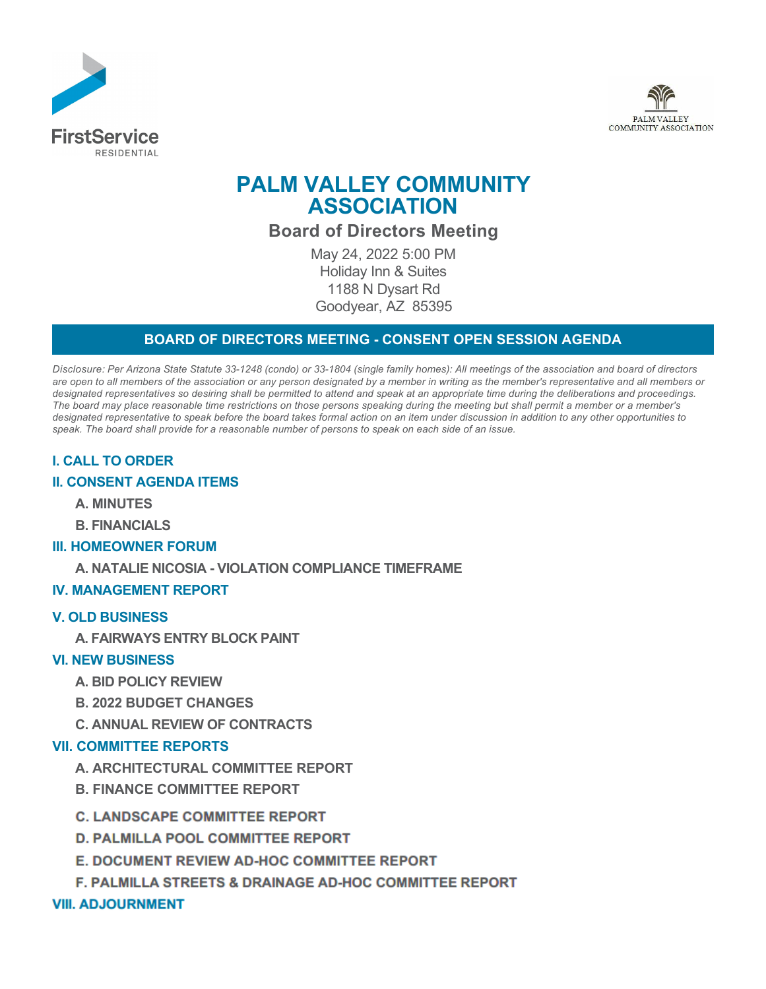



# **PALM VALLEY COMMUNITY ASSOCIATION**

**Board of Directors Meeting**

May 24, 2022 5:00 PM Holiday Inn & Suites 1188 N Dysart Rd Goodyear, AZ 85395

# **BOARD OF DIRECTORS MEETING - CONSENT OPEN SESSION AGENDA**

*Disclosure: Per Arizona State Statute 33-1248 (condo) or 33-1804 (single family homes): All meetings of the association and board of directors are open to all members of the association or any person designated by a member in writing as the member's representative and all members or designated representatives so desiring shall be permitted to attend and speak at an appropriate time during the deliberations and proceedings. The board may place reasonable time restrictions on those persons speaking during the meeting but shall permit a member or a member's designated representative to speak before the board takes formal action on an item under discussion in addition to any other opportunities to speak. The board shall provide for a reasonable number of persons to speak on each side of an issue.* 

# **I. CALL TO ORDER**

## **II. CONSENT AGENDA ITEMS**

**A. MINUTES**

**B. FINANCIALS**

## **III. HOMEOWNER FORUM**

**A. NATALIE NICOSIA - VIOLATION COMPLIANCE TIMEFRAME**

## **IV. MANAGEMENT REPORT**

#### **V. OLD BUSINESS**

**A. FAIRWAYS ENTRY BLOCK PAINT**

## **VI. NEW BUSINESS**

- **A. BID POLICY REVIEW**
- **B. 2022 BUDGET CHANGES**
- **C. ANNUAL REVIEW OF CONTRACTS**

## **VII. COMMITTEE REPORTS**

- **A. ARCHITECTURAL COMMITTEE REPORT**
- **B. FINANCE COMMITTEE REPORT**
- **C. LANDSCAPE COMMITTEE REPORT**
- **D. PALMILLA POOL COMMITTEE REPORT**
- **E. DOCUMENT REVIEW AD-HOC COMMITTEE REPORT**
- **F. PALMILLA STREETS & DRAINAGE AD-HOC COMMITTEE REPORT**

## **VIII. ADJOURNMENT**